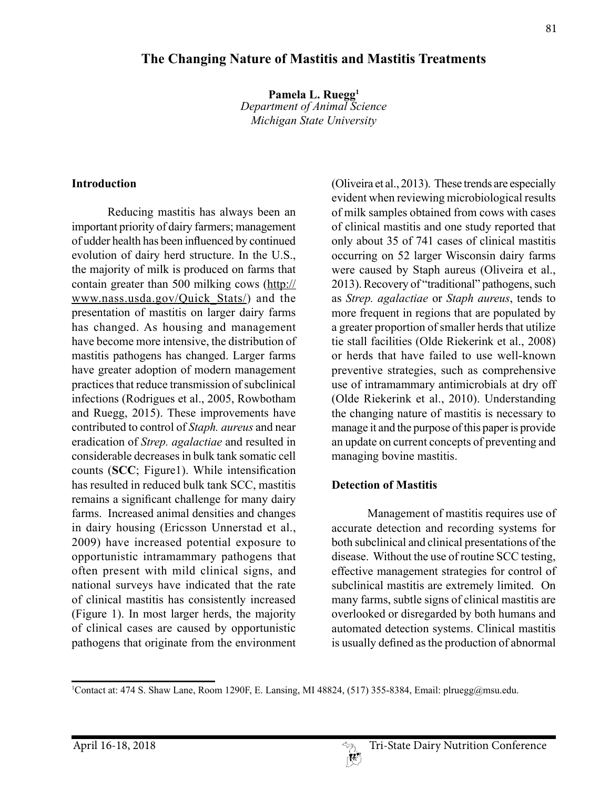# 1 Contact at: 474 S. Shaw Lane, Room 1290F, E. Lansing, MI 48824, (517) 355-8384, Email: plruegg@msu.edu.

## **The Changing Nature of Mastitis and Mastitis Treatments**

**Pamela L. Ruegg1** *Department of Animal Science Michigan State University*

#### **Introduction**

Reducing mastitis has always been an important priority of dairy farmers; management of udder health has been influenced by continued evolution of dairy herd structure. In the U.S., the majority of milk is produced on farms that contain greater than 500 milking cows (http:// www.nass.usda.gov/Quick\_Stats/) and the presentation of mastitis on larger dairy farms has changed. As housing and management have become more intensive, the distribution of mastitis pathogens has changed. Larger farms have greater adoption of modern management practices that reduce transmission of subclinical infections (Rodrigues et al., 2005, Rowbotham and Ruegg, 2015). These improvements have contributed to control of *Staph. aureus* and near eradication of *Strep. agalactiae* and resulted in considerable decreases in bulk tank somatic cell counts (**SCC**; Figure1). While intensification has resulted in reduced bulk tank SCC, mastitis remains a significant challenge for many dairy farms. Increased animal densities and changes in dairy housing (Ericsson Unnerstad et al., 2009) have increased potential exposure to opportunistic intramammary pathogens that often present with mild clinical signs, and national surveys have indicated that the rate of clinical mastitis has consistently increased (Figure 1). In most larger herds, the majority of clinical cases are caused by opportunistic pathogens that originate from the environment

(Oliveira et al., 2013). These trends are especially evident when reviewing microbiological results of milk samples obtained from cows with cases of clinical mastitis and one study reported that only about 35 of 741 cases of clinical mastitis occurring on 52 larger Wisconsin dairy farms were caused by Staph aureus (Oliveira et al., 2013). Recovery of "traditional" pathogens, such as *Strep. agalactiae* or *Staph aureus*, tends to more frequent in regions that are populated by a greater proportion of smaller herds that utilize tie stall facilities (Olde Riekerink et al., 2008) or herds that have failed to use well-known preventive strategies, such as comprehensive use of intramammary antimicrobials at dry off (Olde Riekerink et al., 2010). Understanding the changing nature of mastitis is necessary to manage it and the purpose of this paper is provide an update on current concepts of preventing and managing bovine mastitis.

#### **Detection of Mastitis**

Management of mastitis requires use of accurate detection and recording systems for both subclinical and clinical presentations of the disease. Without the use of routine SCC testing, effective management strategies for control of subclinical mastitis are extremely limited. On many farms, subtle signs of clinical mastitis are overlooked or disregarded by both humans and automated detection systems. Clinical mastitis is usually defined as the production of abnormal

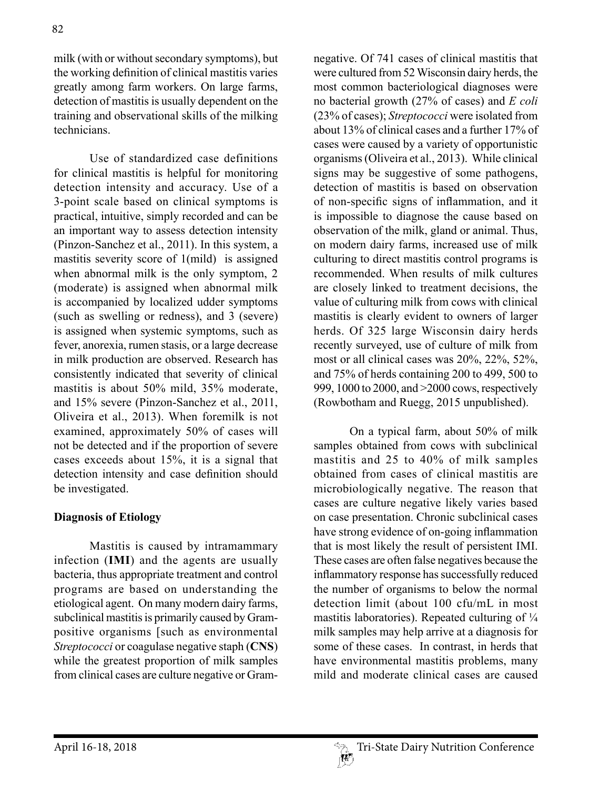milk (with or without secondary symptoms), but the working definition of clinical mastitis varies greatly among farm workers. On large farms, detection of mastitis is usually dependent on the training and observational skills of the milking technicians.

Use of standardized case definitions for clinical mastitis is helpful for monitoring detection intensity and accuracy. Use of a 3-point scale based on clinical symptoms is practical, intuitive, simply recorded and can be an important way to assess detection intensity (Pinzon-Sanchez et al., 2011). In this system, a mastitis severity score of 1(mild) is assigned when abnormal milk is the only symptom, 2 (moderate) is assigned when abnormal milk is accompanied by localized udder symptoms (such as swelling or redness), and 3 (severe) is assigned when systemic symptoms, such as fever, anorexia, rumen stasis, or a large decrease in milk production are observed. Research has consistently indicated that severity of clinical mastitis is about 50% mild, 35% moderate, and 15% severe (Pinzon-Sanchez et al., 2011, Oliveira et al., 2013). When foremilk is not examined, approximately 50% of cases will not be detected and if the proportion of severe cases exceeds about 15%, it is a signal that detection intensity and case definition should be investigated.

### **Diagnosis of Etiology**

Mastitis is caused by intramammary infection (**IMI**) and the agents are usually bacteria, thus appropriate treatment and control programs are based on understanding the etiological agent. On many modern dairy farms, subclinical mastitis is primarily caused by Grampositive organisms [such as environmental *Streptococci* or coagulase negative staph (**CNS**) while the greatest proportion of milk samples from clinical cases are culture negative or Gramnegative. Of 741 cases of clinical mastitis that were cultured from 52 Wisconsin dairy herds, the most common bacteriological diagnoses were no bacterial growth (27% of cases) and *E coli*  (23% of cases); *Streptococci* were isolated from about 13% of clinical cases and a further 17% of cases were caused by a variety of opportunistic organisms (Oliveira et al., 2013). While clinical signs may be suggestive of some pathogens, detection of mastitis is based on observation of non-specific signs of inflammation, and it is impossible to diagnose the cause based on observation of the milk, gland or animal. Thus, on modern dairy farms, increased use of milk culturing to direct mastitis control programs is recommended. When results of milk cultures are closely linked to treatment decisions, the value of culturing milk from cows with clinical mastitis is clearly evident to owners of larger herds. Of 325 large Wisconsin dairy herds recently surveyed, use of culture of milk from most or all clinical cases was 20%, 22%, 52%, and 75% of herds containing 200 to 499, 500 to 999, 1000 to 2000, and >2000 cows, respectively (Rowbotham and Ruegg, 2015 unpublished).

On a typical farm, about 50% of milk samples obtained from cows with subclinical mastitis and 25 to 40% of milk samples obtained from cases of clinical mastitis are microbiologically negative. The reason that cases are culture negative likely varies based on case presentation. Chronic subclinical cases have strong evidence of on-going inflammation that is most likely the result of persistent IMI. These cases are often false negatives because the inflammatory response has successfully reduced the number of organisms to below the normal detection limit (about 100 cfu/mL in most mastitis laboratories). Repeated culturing of  $\frac{1}{4}$ milk samples may help arrive at a diagnosis for some of these cases. In contrast, in herds that have environmental mastitis problems, many mild and moderate clinical cases are caused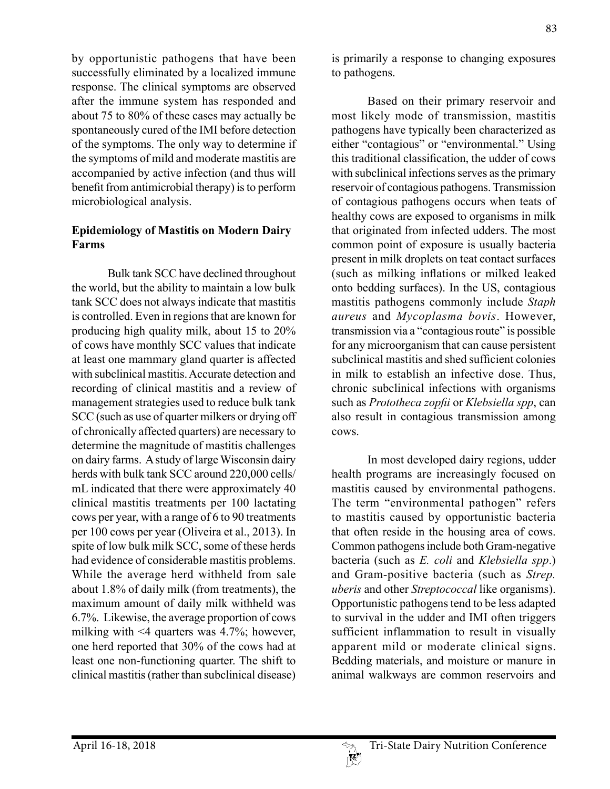by opportunistic pathogens that have been successfully eliminated by a localized immune response. The clinical symptoms are observed after the immune system has responded and about 75 to 80% of these cases may actually be spontaneously cured of the IMI before detection of the symptoms. The only way to determine if the symptoms of mild and moderate mastitis are accompanied by active infection (and thus will benefit from antimicrobial therapy) is to perform microbiological analysis.

## **Epidemiology of Mastitis on Modern Dairy Farms**

Bulk tank SCC have declined throughout the world, but the ability to maintain a low bulk tank SCC does not always indicate that mastitis is controlled. Even in regions that are known for producing high quality milk, about 15 to 20% of cows have monthly SCC values that indicate at least one mammary gland quarter is affected with subclinical mastitis. Accurate detection and recording of clinical mastitis and a review of management strategies used to reduce bulk tank SCC (such as use of quarter milkers or drying off of chronically affected quarters) are necessary to determine the magnitude of mastitis challenges on dairy farms. A study of large Wisconsin dairy herds with bulk tank SCC around 220,000 cells/ mL indicated that there were approximately 40 clinical mastitis treatments per 100 lactating cows per year, with a range of 6 to 90 treatments per 100 cows per year (Oliveira et al., 2013). In spite of low bulk milk SCC, some of these herds had evidence of considerable mastitis problems. While the average herd withheld from sale about 1.8% of daily milk (from treatments), the maximum amount of daily milk withheld was 6.7%. Likewise, the average proportion of cows milking with <4 quarters was 4.7%; however, one herd reported that 30% of the cows had at least one non-functioning quarter. The shift to clinical mastitis (rather than subclinical disease)

is primarily a response to changing exposures to pathogens.

Based on their primary reservoir and most likely mode of transmission, mastitis pathogens have typically been characterized as either "contagious" or "environmental." Using this traditional classification, the udder of cows with subclinical infections serves as the primary reservoir of contagious pathogens. Transmission of contagious pathogens occurs when teats of healthy cows are exposed to organisms in milk that originated from infected udders. The most common point of exposure is usually bacteria present in milk droplets on teat contact surfaces (such as milking inflations or milked leaked onto bedding surfaces). In the US, contagious mastitis pathogens commonly include *Staph aureus* and *Mycoplasma bovis*. However, transmission via a "contagious route" is possible for any microorganism that can cause persistent subclinical mastitis and shed sufficient colonies in milk to establish an infective dose. Thus, chronic subclinical infections with organisms such as *Prototheca zopfii* or *Klebsiella spp*, can also result in contagious transmission among cows.

In most developed dairy regions, udder health programs are increasingly focused on mastitis caused by environmental pathogens. The term "environmental pathogen" refers to mastitis caused by opportunistic bacteria that often reside in the housing area of cows. Common pathogens include both Gram-negative bacteria (such as *E. coli* and *Klebsiella spp*.) and Gram-positive bacteria (such as *Strep. uberis* and other *Streptococcal* like organisms). Opportunistic pathogens tend to be less adapted to survival in the udder and IMI often triggers sufficient inflammation to result in visually apparent mild or moderate clinical signs. Bedding materials, and moisture or manure in animal walkways are common reservoirs and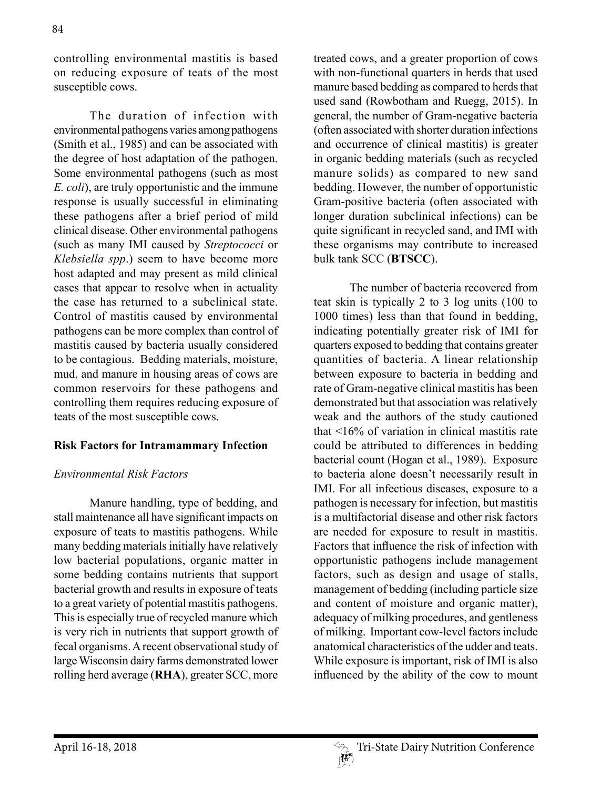controlling environmental mastitis is based on reducing exposure of teats of the most susceptible cows.

The duration of infection with environmental pathogens varies among pathogens (Smith et al., 1985) and can be associated with the degree of host adaptation of the pathogen. Some environmental pathogens (such as most *E. coli*), are truly opportunistic and the immune response is usually successful in eliminating these pathogens after a brief period of mild clinical disease. Other environmental pathogens (such as many IMI caused by *Streptococci* or *Klebsiella spp*.) seem to have become more host adapted and may present as mild clinical cases that appear to resolve when in actuality the case has returned to a subclinical state. Control of mastitis caused by environmental pathogens can be more complex than control of mastitis caused by bacteria usually considered to be contagious. Bedding materials, moisture, mud, and manure in housing areas of cows are common reservoirs for these pathogens and controlling them requires reducing exposure of teats of the most susceptible cows.

## **Risk Factors for Intramammary Infection**

### *Environmental Risk Factors*

Manure handling, type of bedding, and stall maintenance all have significant impacts on exposure of teats to mastitis pathogens. While many bedding materials initially have relatively low bacterial populations, organic matter in some bedding contains nutrients that support bacterial growth and results in exposure of teats to a great variety of potential mastitis pathogens. This is especially true of recycled manure which is very rich in nutrients that support growth of fecal organisms. A recent observational study of large Wisconsin dairy farms demonstrated lower rolling herd average (**RHA**), greater SCC, more

treated cows, and a greater proportion of cows with non-functional quarters in herds that used manure based bedding as compared to herds that used sand (Rowbotham and Ruegg, 2015). In general, the number of Gram-negative bacteria (often associated with shorter duration infections and occurrence of clinical mastitis) is greater in organic bedding materials (such as recycled manure solids) as compared to new sand bedding. However, the number of opportunistic Gram-positive bacteria (often associated with longer duration subclinical infections) can be quite significant in recycled sand, and IMI with these organisms may contribute to increased bulk tank SCC (**BTSCC**).

The number of bacteria recovered from teat skin is typically 2 to 3 log units (100 to 1000 times) less than that found in bedding, indicating potentially greater risk of IMI for quarters exposed to bedding that contains greater quantities of bacteria. A linear relationship between exposure to bacteria in bedding and rate of Gram-negative clinical mastitis has been demonstrated but that association was relatively weak and the authors of the study cautioned that <16% of variation in clinical mastitis rate could be attributed to differences in bedding bacterial count (Hogan et al., 1989). Exposure to bacteria alone doesn't necessarily result in IMI. For all infectious diseases, exposure to a pathogen is necessary for infection, but mastitis is a multifactorial disease and other risk factors are needed for exposure to result in mastitis. Factors that influence the risk of infection with opportunistic pathogens include management factors, such as design and usage of stalls, management of bedding (including particle size and content of moisture and organic matter), adequacy of milking procedures, and gentleness of milking. Important cow-level factors include anatomical characteristics of the udder and teats. While exposure is important, risk of IMI is also influenced by the ability of the cow to mount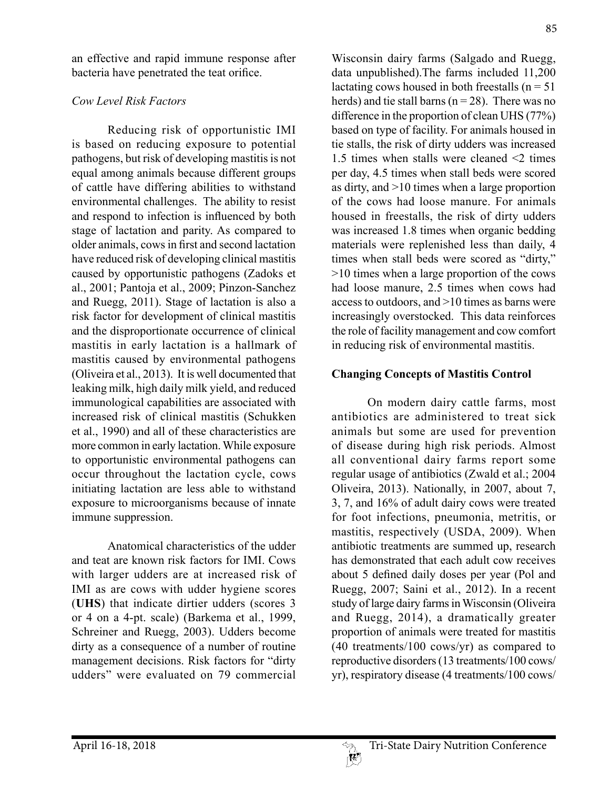an effective and rapid immune response after bacteria have penetrated the teat orifice.

## *Cow Level Risk Factors*

Reducing risk of opportunistic IMI is based on reducing exposure to potential pathogens, but risk of developing mastitis is not equal among animals because different groups of cattle have differing abilities to withstand environmental challenges. The ability to resist and respond to infection is influenced by both stage of lactation and parity. As compared to older animals, cows in first and second lactation have reduced risk of developing clinical mastitis caused by opportunistic pathogens (Zadoks et al., 2001; Pantoja et al., 2009; Pinzon-Sanchez and Ruegg, 2011). Stage of lactation is also a risk factor for development of clinical mastitis and the disproportionate occurrence of clinical mastitis in early lactation is a hallmark of mastitis caused by environmental pathogens (Oliveira et al., 2013). It is well documented that leaking milk, high daily milk yield, and reduced immunological capabilities are associated with increased risk of clinical mastitis (Schukken et al., 1990) and all of these characteristics are more common in early lactation. While exposure to opportunistic environmental pathogens can occur throughout the lactation cycle, cows initiating lactation are less able to withstand exposure to microorganisms because of innate immune suppression.

Anatomical characteristics of the udder and teat are known risk factors for IMI. Cows with larger udders are at increased risk of IMI as are cows with udder hygiene scores (**UHS**) that indicate dirtier udders (scores 3 or 4 on a 4-pt. scale) (Barkema et al., 1999, Schreiner and Ruegg, 2003). Udders become dirty as a consequence of a number of routine management decisions. Risk factors for "dirty udders" were evaluated on 79 commercial

Wisconsin dairy farms (Salgado and Ruegg, data unpublished).The farms included 11,200 lactating cows housed in both freestalls ( $n = 51$ ) herds) and tie stall barns ( $n = 28$ ). There was no difference in the proportion of clean UHS (77%) based on type of facility. For animals housed in tie stalls, the risk of dirty udders was increased 1.5 times when stalls were cleaned <2 times per day, 4.5 times when stall beds were scored as dirty, and >10 times when a large proportion of the cows had loose manure. For animals housed in freestalls, the risk of dirty udders was increased 1.8 times when organic bedding materials were replenished less than daily, 4 times when stall beds were scored as "dirty," >10 times when a large proportion of the cows had loose manure, 2.5 times when cows had access to outdoors, and >10 times as barns were increasingly overstocked. This data reinforces the role of facility management and cow comfort in reducing risk of environmental mastitis.

## **Changing Concepts of Mastitis Control**

On modern dairy cattle farms, most antibiotics are administered to treat sick animals but some are used for prevention of disease during high risk periods. Almost all conventional dairy farms report some regular usage of antibiotics (Zwald et al.; 2004 Oliveira, 2013). Nationally, in 2007, about 7, 3, 7, and 16% of adult dairy cows were treated for foot infections, pneumonia, metritis, or mastitis, respectively (USDA, 2009). When antibiotic treatments are summed up, research has demonstrated that each adult cow receives about 5 defined daily doses per year (Pol and Ruegg, 2007; Saini et al., 2012). In a recent study of large dairy farms in Wisconsin (Oliveira and Ruegg, 2014), a dramatically greater proportion of animals were treated for mastitis (40 treatments/100 cows/yr) as compared to reproductive disorders (13 treatments/100 cows/ yr), respiratory disease (4 treatments/100 cows/

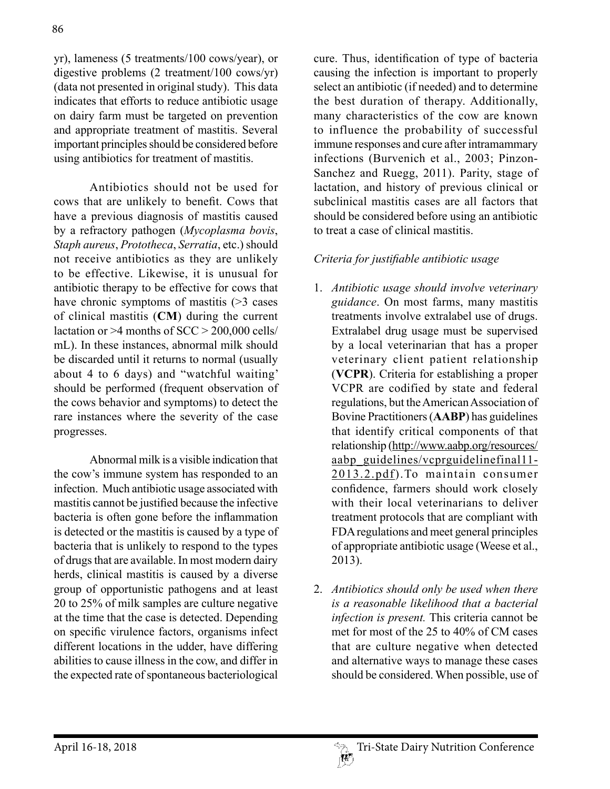yr), lameness (5 treatments/100 cows/year), or digestive problems (2 treatment/100 cows/yr) (data not presented in original study). This data indicates that efforts to reduce antibiotic usage on dairy farm must be targeted on prevention and appropriate treatment of mastitis. Several important principles should be considered before using antibiotics for treatment of mastitis.

Antibiotics should not be used for cows that are unlikely to benefit. Cows that have a previous diagnosis of mastitis caused by a refractory pathogen (*Mycoplasma bovis*, *Staph aureus*, *Prototheca*, *Serratia*, etc.) should not receive antibiotics as they are unlikely to be effective. Likewise, it is unusual for antibiotic therapy to be effective for cows that have chronic symptoms of mastitis (>3 cases of clinical mastitis (**CM**) during the current lactation or  $>4$  months of SCC  $> 200,000$  cells/ mL). In these instances, abnormal milk should be discarded until it returns to normal (usually about 4 to 6 days) and "watchful waiting' should be performed (frequent observation of the cows behavior and symptoms) to detect the rare instances where the severity of the case progresses.

Abnormal milk is a visible indication that the cow's immune system has responded to an infection. Much antibiotic usage associated with mastitis cannot be justified because the infective bacteria is often gone before the inflammation is detected or the mastitis is caused by a type of bacteria that is unlikely to respond to the types of drugs that are available. In most modern dairy herds, clinical mastitis is caused by a diverse group of opportunistic pathogens and at least 20 to 25% of milk samples are culture negative at the time that the case is detected. Depending on specific virulence factors, organisms infect different locations in the udder, have differing abilities to cause illness in the cow, and differ in the expected rate of spontaneous bacteriological

cure. Thus, identification of type of bacteria causing the infection is important to properly select an antibiotic (if needed) and to determine the best duration of therapy. Additionally, many characteristics of the cow are known to influence the probability of successful immune responses and cure after intramammary infections (Burvenich et al., 2003; Pinzon-Sanchez and Ruegg, 2011). Parity, stage of lactation, and history of previous clinical or subclinical mastitis cases are all factors that should be considered before using an antibiotic to treat a case of clinical mastitis.

## *Criteria for justifiable antibiotic usage*

- 1. *Antibiotic usage should involve veterinary guidance*. On most farms, many mastitis treatments involve extralabel use of drugs. Extralabel drug usage must be supervised by a local veterinarian that has a proper veterinary client patient relationship (**VCPR**). Criteria for establishing a proper VCPR are codified by state and federal regulations, but the American Association of Bovine Practitioners (**AABP**) has guidelines that identify critical components of that relationship (http://www.aabp.org/resources/ aabp\_guidelines/vcprguidelinefinal11-2013.2.pdf).To maintain consumer confidence, farmers should work closely with their local veterinarians to deliver treatment protocols that are compliant with FDA regulations and meet general principles of appropriate antibiotic usage (Weese et al., 2013).
- 2. *Antibiotics should only be used when there is a reasonable likelihood that a bacterial infection is present.* This criteria cannot be met for most of the 25 to 40% of CM cases that are culture negative when detected and alternative ways to manage these cases should be considered. When possible, use of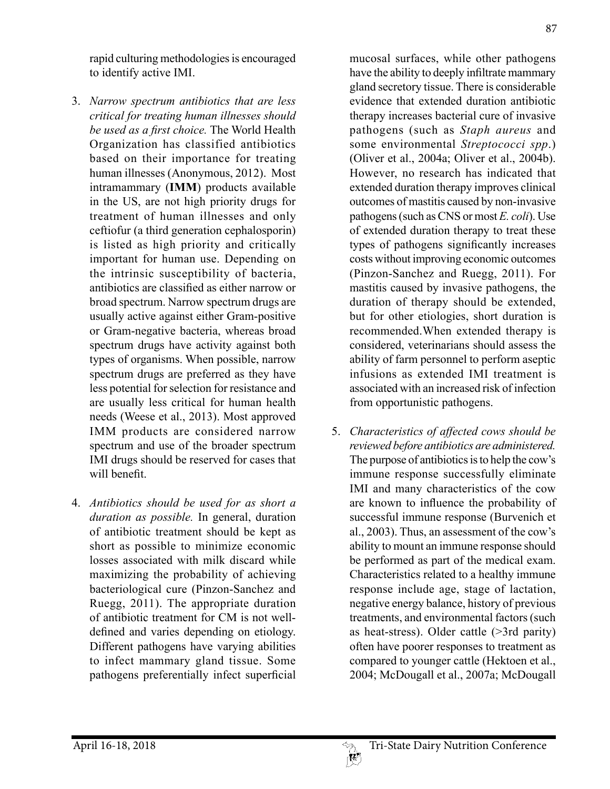rapid culturing methodologies is encouraged to identify active IMI.

- 3. *Narrow spectrum antibiotics that are less critical for treating human illnesses should be used as a first choice.* The World Health Organization has classified antibiotics based on their importance for treating human illnesses (Anonymous, 2012). Most intramammary (**IMM**) products available in the US, are not high priority drugs for treatment of human illnesses and only ceftiofur (a third generation cephalosporin) is listed as high priority and critically important for human use. Depending on the intrinsic susceptibility of bacteria, antibiotics are classified as either narrow or broad spectrum. Narrow spectrum drugs are usually active against either Gram-positive or Gram-negative bacteria, whereas broad spectrum drugs have activity against both types of organisms. When possible, narrow spectrum drugs are preferred as they have less potential for selection for resistance and are usually less critical for human health needs (Weese et al., 2013). Most approved IMM products are considered narrow spectrum and use of the broader spectrum IMI drugs should be reserved for cases that will benefit.
- 4. *Antibiotics should be used for as short a duration as possible.* In general, duration of antibiotic treatment should be kept as short as possible to minimize economic losses associated with milk discard while maximizing the probability of achieving bacteriological cure (Pinzon-Sanchez and Ruegg, 2011). The appropriate duration of antibiotic treatment for CM is not welldefined and varies depending on etiology. Different pathogens have varying abilities to infect mammary gland tissue. Some pathogens preferentially infect superficial

mucosal surfaces, while other pathogens have the ability to deeply infiltrate mammary gland secretory tissue. There is considerable evidence that extended duration antibiotic therapy increases bacterial cure of invasive pathogens (such as *Staph aureus* and some environmental *Streptococci spp*.) (Oliver et al., 2004a; Oliver et al., 2004b). However, no research has indicated that extended duration therapy improves clinical outcomes of mastitis caused by non-invasive pathogens (such as CNS or most *E. coli*). Use of extended duration therapy to treat these types of pathogens significantly increases costs without improving economic outcomes (Pinzon-Sanchez and Ruegg, 2011). For mastitis caused by invasive pathogens, the duration of therapy should be extended, but for other etiologies, short duration is recommended.When extended therapy is considered, veterinarians should assess the ability of farm personnel to perform aseptic infusions as extended IMI treatment is associated with an increased risk of infection from opportunistic pathogens.

5. *Characteristics of affected cows should be reviewed before antibiotics are administered.* The purpose of antibiotics is to help the cow's immune response successfully eliminate IMI and many characteristics of the cow are known to influence the probability of successful immune response (Burvenich et al., 2003). Thus, an assessment of the cow's ability to mount an immune response should be performed as part of the medical exam. Characteristics related to a healthy immune response include age, stage of lactation, negative energy balance, history of previous treatments, and environmental factors (such as heat-stress). Older cattle (>3rd parity) often have poorer responses to treatment as compared to younger cattle (Hektoen et al., 2004; McDougall et al., 2007a; McDougall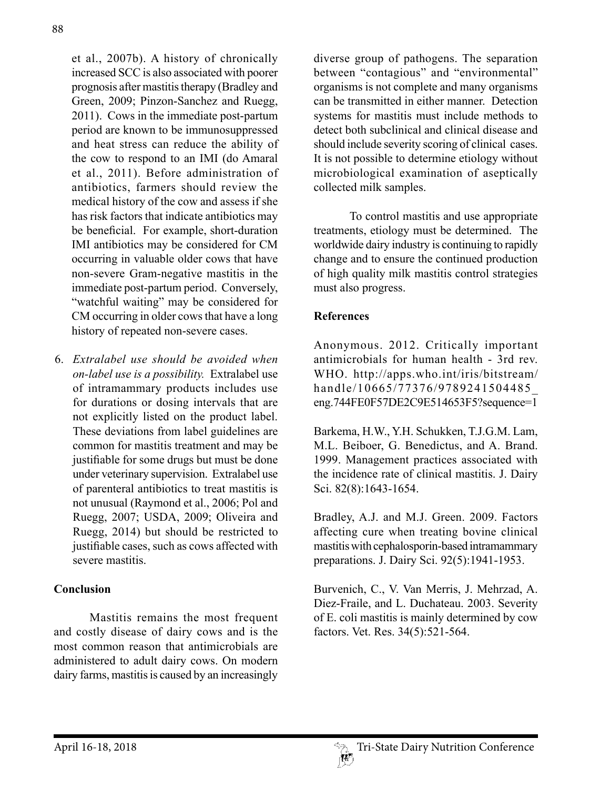et al., 2007b). A history of chronically increased SCC is also associated with poorer prognosis after mastitis therapy (Bradley and Green, 2009; Pinzon-Sanchez and Ruegg, 2011). Cows in the immediate post-partum period are known to be immunosuppressed and heat stress can reduce the ability of the cow to respond to an IMI (do Amaral et al., 2011). Before administration of antibiotics, farmers should review the medical history of the cow and assess if she has risk factors that indicate antibiotics may be beneficial. For example, short-duration IMI antibiotics may be considered for CM occurring in valuable older cows that have non-severe Gram-negative mastitis in the immediate post-partum period. Conversely, "watchful waiting" may be considered for CM occurring in older cows that have a long history of repeated non-severe cases.

6. *Extralabel use should be avoided when on-label use is a possibility.* Extralabel use of intramammary products includes use for durations or dosing intervals that are not explicitly listed on the product label. These deviations from label guidelines are common for mastitis treatment and may be justifiable for some drugs but must be done under veterinary supervision. Extralabel use of parenteral antibiotics to treat mastitis is not unusual (Raymond et al., 2006; Pol and Ruegg, 2007; USDA, 2009; Oliveira and Ruegg, 2014) but should be restricted to justifiable cases, such as cows affected with severe mastitis.

### **Conclusion**

Mastitis remains the most frequent and costly disease of dairy cows and is the most common reason that antimicrobials are administered to adult dairy cows. On modern dairy farms, mastitis is caused by an increasingly

diverse group of pathogens. The separation between "contagious" and "environmental" organisms is not complete and many organisms can be transmitted in either manner. Detection systems for mastitis must include methods to detect both subclinical and clinical disease and should include severity scoring of clinical cases. It is not possible to determine etiology without microbiological examination of aseptically collected milk samples.

To control mastitis and use appropriate treatments, etiology must be determined. The worldwide dairy industry is continuing to rapidly change and to ensure the continued production of high quality milk mastitis control strategies must also progress.

### **References**

Anonymous. 2012. Critically important antimicrobials for human health - 3rd rev. WHO. http://apps.who.int/iris/bitstream/ handle/10665/77376/9789241504485\_ eng.744FE0F57DE2C9E514653F5?sequence=1

Barkema, H.W., Y.H. Schukken, T.J.G.M. Lam, M.L. Beiboer, G. Benedictus, and A. Brand. 1999. Management practices associated with the incidence rate of clinical mastitis. J. Dairy Sci. 82(8):1643-1654.

Bradley, A.J. and M.J. Green. 2009. Factors affecting cure when treating bovine clinical mastitis with cephalosporin-based intramammary preparations. J. Dairy Sci. 92(5):1941-1953.

Burvenich, C., V. Van Merris, J. Mehrzad, A. Diez-Fraile, and L. Duchateau. 2003. Severity of E. coli mastitis is mainly determined by cow factors. Vet. Res. 34(5):521-564.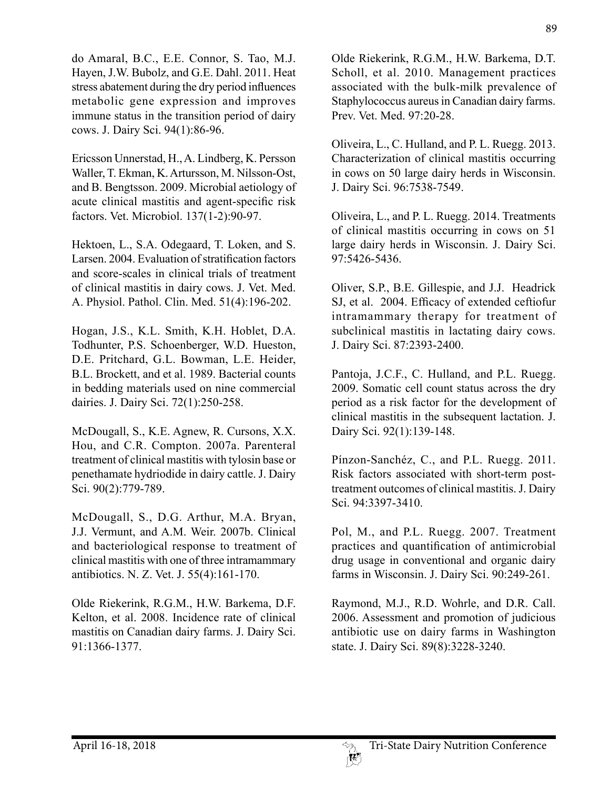do Amaral, B.C., E.E. Connor, S. Tao, M.J. Hayen, J.W. Bubolz, and G.E. Dahl. 2011. Heat stress abatement during the dry period influences metabolic gene expression and improves immune status in the transition period of dairy cows. J. Dairy Sci. 94(1):86-96.

Ericsson Unnerstad, H., A. Lindberg, K. Persson Waller, T. Ekman, K. Artursson, M. Nilsson-Ost, and B. Bengtsson. 2009. Microbial aetiology of acute clinical mastitis and agent-specific risk factors. Vet. Microbiol. 137(1-2):90-97.

Hektoen, L., S.A. Odegaard, T. Loken, and S. Larsen. 2004. Evaluation of stratification factors and score-scales in clinical trials of treatment of clinical mastitis in dairy cows. J. Vet. Med. A. Physiol. Pathol. Clin. Med. 51(4):196-202.

Hogan, J.S., K.L. Smith, K.H. Hoblet, D.A. Todhunter, P.S. Schoenberger, W.D. Hueston, D.E. Pritchard, G.L. Bowman, L.E. Heider, B.L. Brockett, and et al. 1989. Bacterial counts in bedding materials used on nine commercial dairies. J. Dairy Sci. 72(1):250-258.

McDougall, S., K.E. Agnew, R. Cursons, X.X. Hou, and C.R. Compton. 2007a. Parenteral treatment of clinical mastitis with tylosin base or penethamate hydriodide in dairy cattle. J. Dairy Sci. 90(2):779-789.

McDougall, S., D.G. Arthur, M.A. Bryan, J.J. Vermunt, and A.M. Weir. 2007b. Clinical and bacteriological response to treatment of clinical mastitis with one of three intramammary antibiotics. N. Z. Vet. J. 55(4):161-170.

Olde Riekerink, R.G.M., H.W. Barkema, D.F. Kelton, et al. 2008. Incidence rate of clinical mastitis on Canadian dairy farms. J. Dairy Sci. 91:1366-1377.

Olde Riekerink, R.G.M., H.W. Barkema, D.T. Scholl, et al. 2010. Management practices associated with the bulk-milk prevalence of Staphylococcus aureus in Canadian dairy farms. Prev. Vet. Med. 97:20-28.

Oliveira, L., C. Hulland, and P. L. Ruegg. 2013. Characterization of clinical mastitis occurring in cows on 50 large dairy herds in Wisconsin. J. Dairy Sci. 96:7538-7549.

Oliveira, L., and P. L. Ruegg. 2014. Treatments of clinical mastitis occurring in cows on 51 large dairy herds in Wisconsin. J. Dairy Sci. 97:5426-5436.

Oliver, S.P., B.E. Gillespie, and J.J. Headrick SJ, et al. 2004. Efficacy of extended ceftiofur intramammary therapy for treatment of subclinical mastitis in lactating dairy cows. J. Dairy Sci. 87:2393-2400.

Pantoja, J.C.F., C. Hulland, and P.L. Ruegg. 2009. Somatic cell count status across the dry period as a risk factor for the development of clinical mastitis in the subsequent lactation. J. Dairy Sci. 92(1):139-148.

Pínzon-Sanchéz, C., and P.L. Ruegg. 2011. Risk factors associated with short-term posttreatment outcomes of clinical mastitis. J. Dairy Sci. 94:3397-3410.

Pol, M., and P.L. Ruegg. 2007. Treatment practices and quantification of antimicrobial drug usage in conventional and organic dairy farms in Wisconsin. J. Dairy Sci. 90:249-261.

Raymond, M.J., R.D. Wohrle, and D.R. Call. 2006. Assessment and promotion of judicious antibiotic use on dairy farms in Washington state. J. Dairy Sci. 89(8):3228-3240.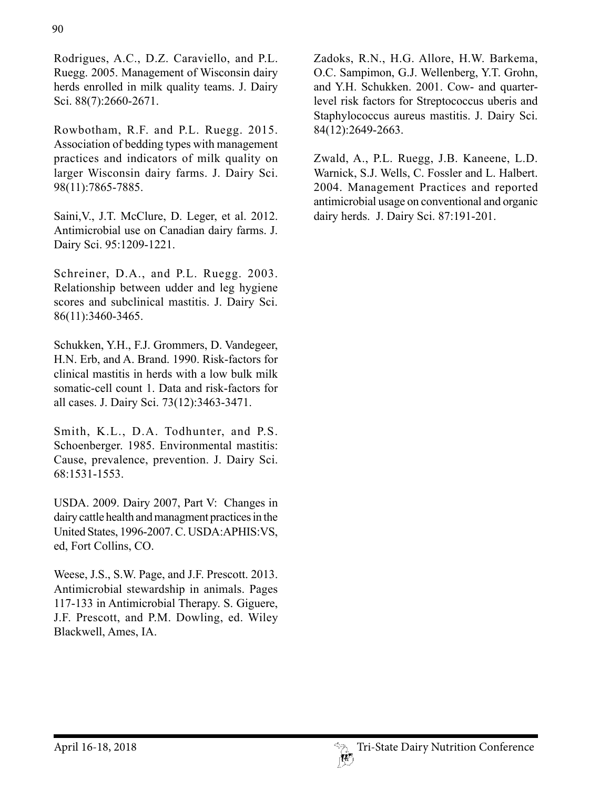Rodrigues, A.C., D.Z. Caraviello, and P.L. Ruegg. 2005. Management of Wisconsin dairy herds enrolled in milk quality teams. J. Dairy Sci. 88(7):2660-2671.

Rowbotham, R.F. and P.L. Ruegg. 2015. Association of bedding types with management practices and indicators of milk quality on larger Wisconsin dairy farms. J. Dairy Sci. 98(11):7865-7885.

Saini,V., J.T. McClure, D. Leger, et al. 2012. Antimicrobial use on Canadian dairy farms. J. Dairy Sci. 95:1209-1221.

Schreiner, D.A., and P.L. Ruegg. 2003. Relationship between udder and leg hygiene scores and subclinical mastitis. J. Dairy Sci. 86(11):3460-3465.

Schukken, Y.H., F.J. Grommers, D. Vandegeer, H.N. Erb, and A. Brand. 1990. Risk-factors for clinical mastitis in herds with a low bulk milk somatic-cell count 1. Data and risk-factors for all cases. J. Dairy Sci. 73(12):3463-3471.

Smith, K.L., D.A. Todhunter, and P.S. Schoenberger. 1985. Environmental mastitis: Cause, prevalence, prevention. J. Dairy Sci. 68:1531-1553.

USDA. 2009. Dairy 2007, Part V: Changes in dairy cattle health and managment practices in the United States, 1996-2007. C. USDA:APHIS:VS, ed, Fort Collins, CO.

Weese, J.S., S.W. Page, and J.F. Prescott. 2013. Antimicrobial stewardship in animals. Pages 117-133 in Antimicrobial Therapy. S. Giguere, J.F. Prescott, and P.M. Dowling, ed. Wiley Blackwell, Ames, IA.

Zadoks, R.N., H.G. Allore, H.W. Barkema, O.C. Sampimon, G.J. Wellenberg, Y.T. Grohn, and Y.H. Schukken. 2001. Cow- and quarterlevel risk factors for Streptococcus uberis and Staphylococcus aureus mastitis. J. Dairy Sci. 84(12):2649-2663.

Zwald, A., P.L. Ruegg, J.B. Kaneene, L.D. Warnick, S.J. Wells, C. Fossler and L. Halbert. 2004. Management Practices and reported antimicrobial usage on conventional and organic dairy herds. J. Dairy Sci. 87:191-201.